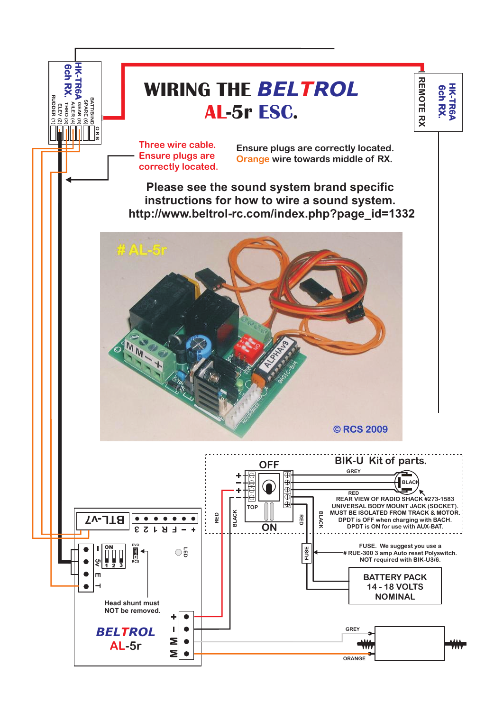